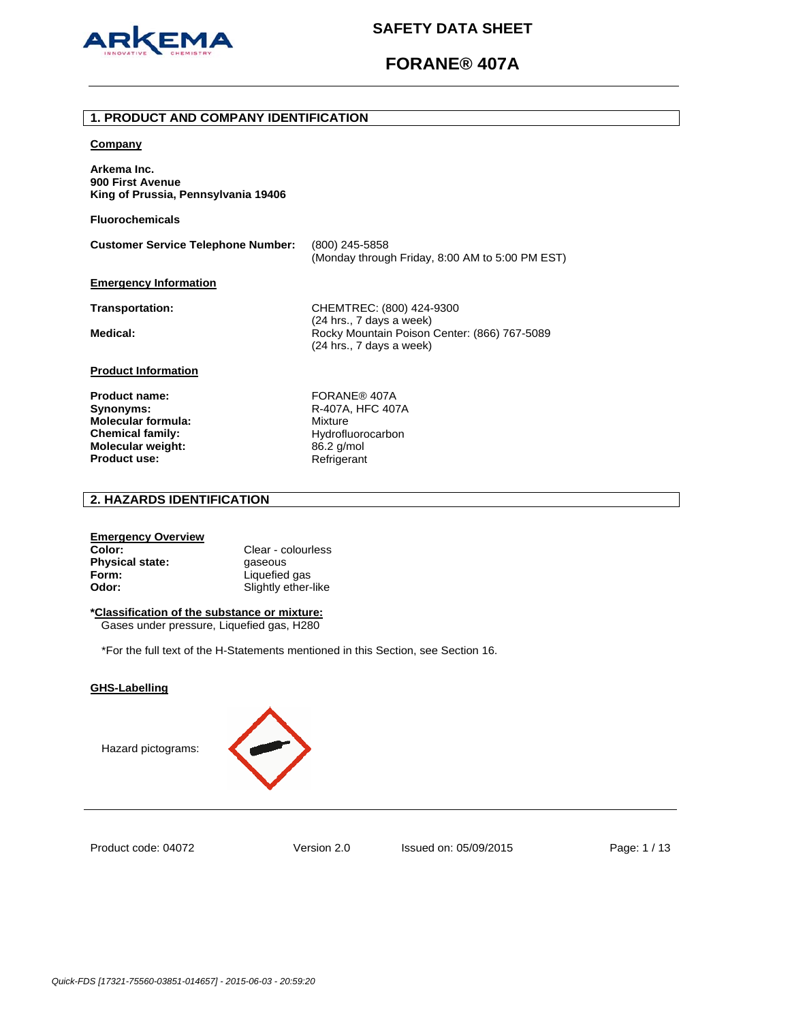

# **FORANE® 407A**

### **1. PRODUCT AND COMPANY IDENTIFICATION**

#### **Company**

**Arkema Inc. 900 First Avenue King of Prussia, Pennsylvania 19406** 

**Fluorochemicals**

| <b>Customer Service Telephone Number:</b> | (800) 245-5858                                  |
|-------------------------------------------|-------------------------------------------------|
|                                           | (Monday through Friday, 8:00 AM to 5:00 PM EST) |
| <b>Emergency Information</b>              |                                                 |

**Transportation:** CHEMTREC: (800) 424-9300 (24 hrs., 7 days a week) Medical: **Medical: Rocky Mountain Poison Center: (866) 767-5089** (24 hrs., 7 days a week)

## **Product Information**

Product name: FORANE<sup>®</sup> 407A **Synonyms:** R-407A, HFC 407A **Molecular formula:** Mixture **Chemical family:** Hydrofluorocarbon<br> **Molecular weight:** 86.2 g/mol **Molecular weight:** 86.2 g/mol<br>**Product use:** Refrigerant **Product use:** 

# **2. HAZARDS IDENTIFICATION**

## **Emergency Overview**

**Color:** Clear - colourless **Physical state: gaseous Form:** Liquefied gas **Odor:** Slightly ether-like

# **\*Classification of the substance or mixture:**

Gases under pressure, Liquefied gas, H280

\*For the full text of the H-Statements mentioned in this Section, see Section 16.

## **GHS-Labelling**





Product code: 04072

Version 2.0 Issued on: 05/09/2015 Page: 1 / 13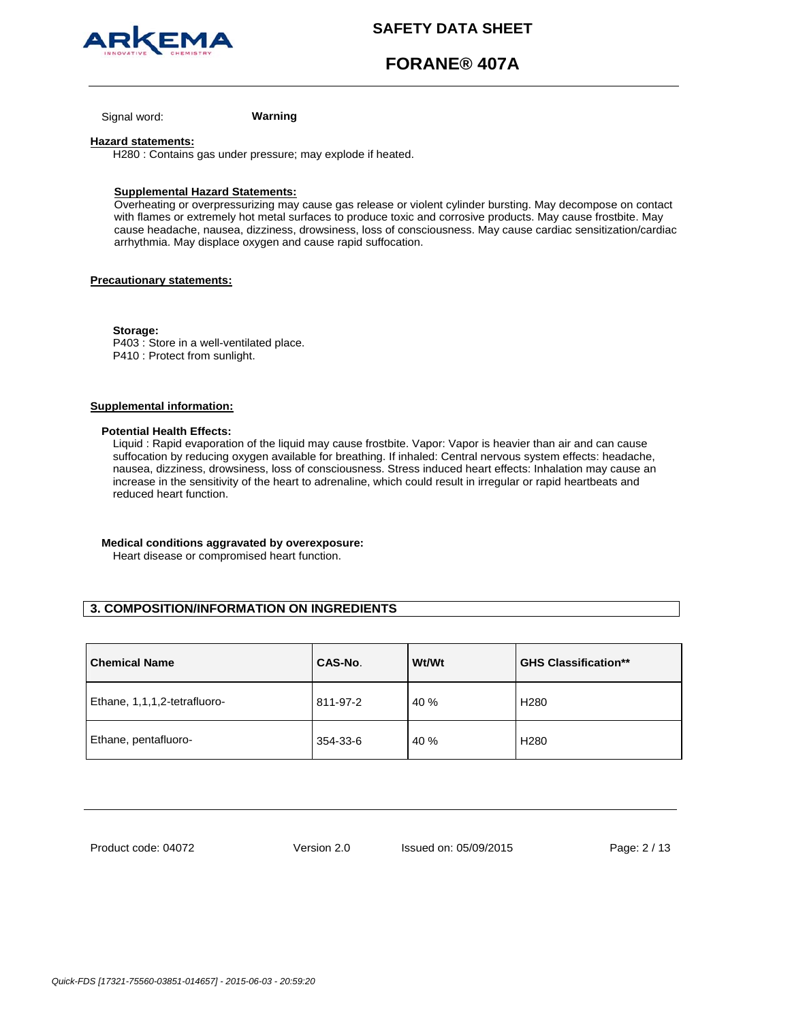

# **FORANE® 407A**

Signal word: **Warning**

#### **Hazard statements:**

H280 : Contains gas under pressure; may explode if heated.

### **Supplemental Hazard Statements:**

Overheating or overpressurizing may cause gas release or violent cylinder bursting. May decompose on contact with flames or extremely hot metal surfaces to produce toxic and corrosive products. May cause frostbite. May cause headache, nausea, dizziness, drowsiness, loss of consciousness. May cause cardiac sensitization/cardiac arrhythmia. May displace oxygen and cause rapid suffocation.

### **Precautionary statements:**

**Storage:**  P403 : Store in a well-ventilated place. P410 : Protect from sunlight.

## **Supplemental information:**

#### **Potential Health Effects:**

Liquid : Rapid evaporation of the liquid may cause frostbite. Vapor: Vapor is heavier than air and can cause suffocation by reducing oxygen available for breathing. If inhaled: Central nervous system effects: headache, nausea, dizziness, drowsiness, loss of consciousness. Stress induced heart effects: Inhalation may cause an increase in the sensitivity of the heart to adrenaline, which could result in irregular or rapid heartbeats and reduced heart function.

#### **Medical conditions aggravated by overexposure:**

Heart disease or compromised heart function.

# **3. COMPOSITION/INFORMATION ON INGREDIENTS**

| <b>Chemical Name</b>         | CAS-No.  | Wt/Wt | <b>GHS Classification**</b> |
|------------------------------|----------|-------|-----------------------------|
| Ethane, 1,1,1,2-tetrafluoro- | 811-97-2 | 40 %  | H <sub>280</sub>            |
| Ethane, pentafluoro-         | 354-33-6 | 40 %  | H <sub>280</sub>            |

Product code: 04072

Version 2.0 Issued on: 05/09/2015 Page: 2 / 13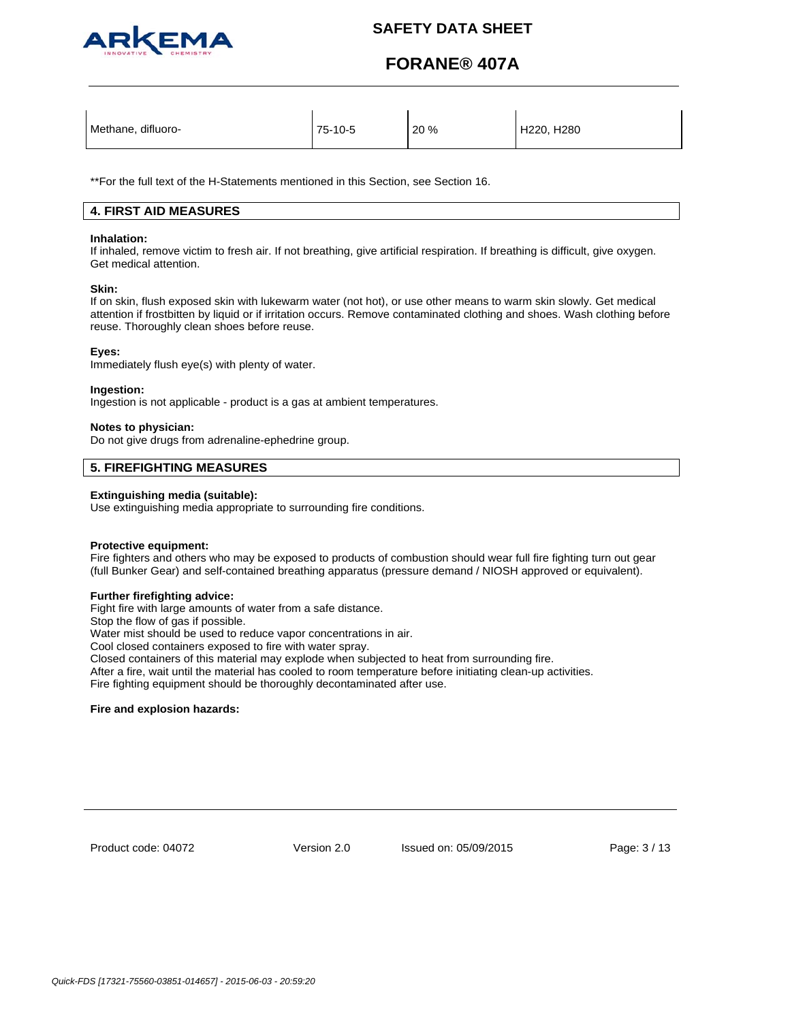

# **FORANE® 407A**

| Methane, difluoro- | 75-10-5 | 20 % | H220, H280 |
|--------------------|---------|------|------------|
|--------------------|---------|------|------------|

\*\*For the full text of the H-Statements mentioned in this Section, see Section 16.

## **4. FIRST AID MEASURES**

#### **Inhalation:**

If inhaled, remove victim to fresh air. If not breathing, give artificial respiration. If breathing is difficult, give oxygen. Get medical attention.

### **Skin:**

If on skin, flush exposed skin with lukewarm water (not hot), or use other means to warm skin slowly. Get medical attention if frostbitten by liquid or if irritation occurs. Remove contaminated clothing and shoes. Wash clothing before reuse. Thoroughly clean shoes before reuse.

### **Eyes:**

Immediately flush eye(s) with plenty of water.

### **Ingestion:**

Ingestion is not applicable - product is a gas at ambient temperatures.

### **Notes to physician:**

Do not give drugs from adrenaline-ephedrine group.

## **5. FIREFIGHTING MEASURES**

### **Extinguishing media (suitable):**

Use extinguishing media appropriate to surrounding fire conditions.

## **Protective equipment:**

Fire fighters and others who may be exposed to products of combustion should wear full fire fighting turn out gear (full Bunker Gear) and self-contained breathing apparatus (pressure demand / NIOSH approved or equivalent).

## **Further firefighting advice:**

Fight fire with large amounts of water from a safe distance.

Stop the flow of gas if possible.

Water mist should be used to reduce vapor concentrations in air.

Cool closed containers exposed to fire with water spray.

Closed containers of this material may explode when subjected to heat from surrounding fire.

After a fire, wait until the material has cooled to room temperature before initiating clean-up activities.

Fire fighting equipment should be thoroughly decontaminated after use.

### **Fire and explosion hazards:**

Product code: 04072

Version 2.0 Issued on: 05/09/2015 Page: 3 / 13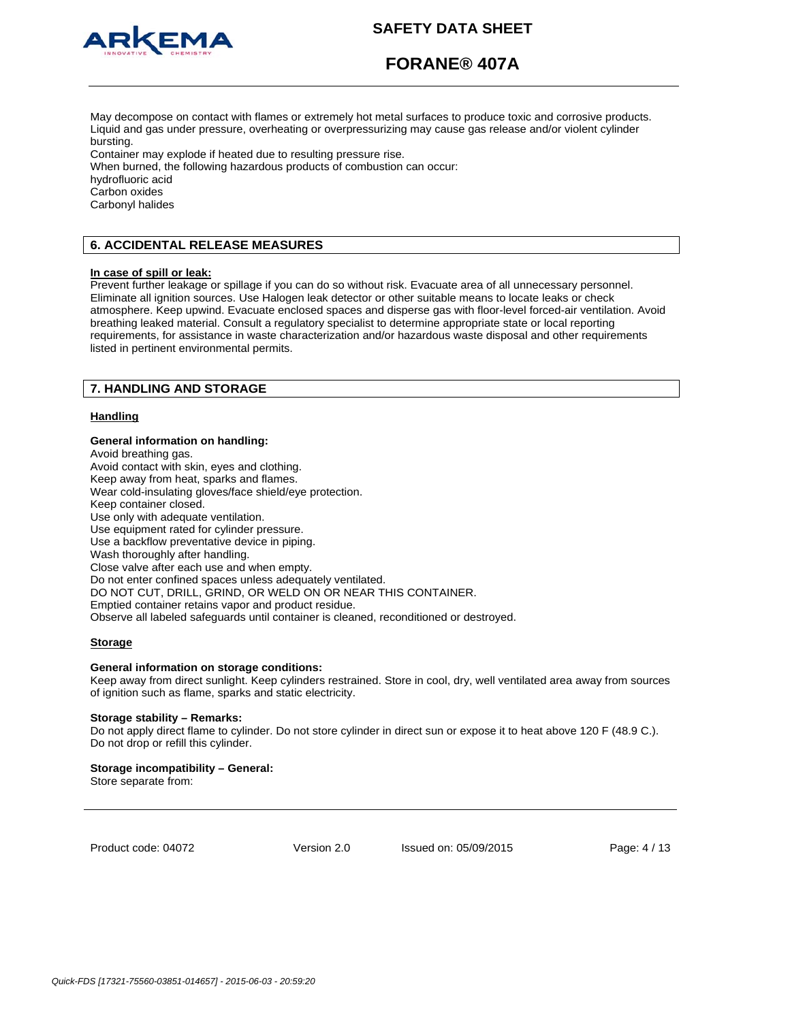

# **FORANE® 407A**

May decompose on contact with flames or extremely hot metal surfaces to produce toxic and corrosive products. Liquid and gas under pressure, overheating or overpressurizing may cause gas release and/or violent cylinder bursting.

Container may explode if heated due to resulting pressure rise.

When burned, the following hazardous products of combustion can occur: hydrofluoric acid Carbon oxides Carbonyl halides

# **6. ACCIDENTAL RELEASE MEASURES**

#### **In case of spill or leak:**

Prevent further leakage or spillage if you can do so without risk. Evacuate area of all unnecessary personnel. Eliminate all ignition sources. Use Halogen leak detector or other suitable means to locate leaks or check atmosphere. Keep upwind. Evacuate enclosed spaces and disperse gas with floor-level forced-air ventilation. Avoid breathing leaked material. Consult a regulatory specialist to determine appropriate state or local reporting requirements, for assistance in waste characterization and/or hazardous waste disposal and other requirements listed in pertinent environmental permits.

## **7. HANDLING AND STORAGE**

### **Handling**

#### **General information on handling:**

Avoid breathing gas. Avoid contact with skin, eyes and clothing. Keep away from heat, sparks and flames. Wear cold-insulating gloves/face shield/eye protection. Keep container closed. Use only with adequate ventilation. Use equipment rated for cylinder pressure. Use a backflow preventative device in piping. Wash thoroughly after handling. Close valve after each use and when empty. Do not enter confined spaces unless adequately ventilated. DO NOT CUT, DRILL, GRIND, OR WELD ON OR NEAR THIS CONTAINER. Emptied container retains vapor and product residue. Observe all labeled safeguards until container is cleaned, reconditioned or destroyed.

### **Storage**

#### **General information on storage conditions:**

Keep away from direct sunlight. Keep cylinders restrained. Store in cool, dry, well ventilated area away from sources of ignition such as flame, sparks and static electricity.

#### **Storage stability – Remarks:**

Do not apply direct flame to cylinder. Do not store cylinder in direct sun or expose it to heat above 120 F (48.9 C.). Do not drop or refill this cylinder.

### **Storage incompatibility – General:**

Store separate from:

Product code: 04072

Version 2.0 Issued on: 05/09/2015 Page: 4 / 13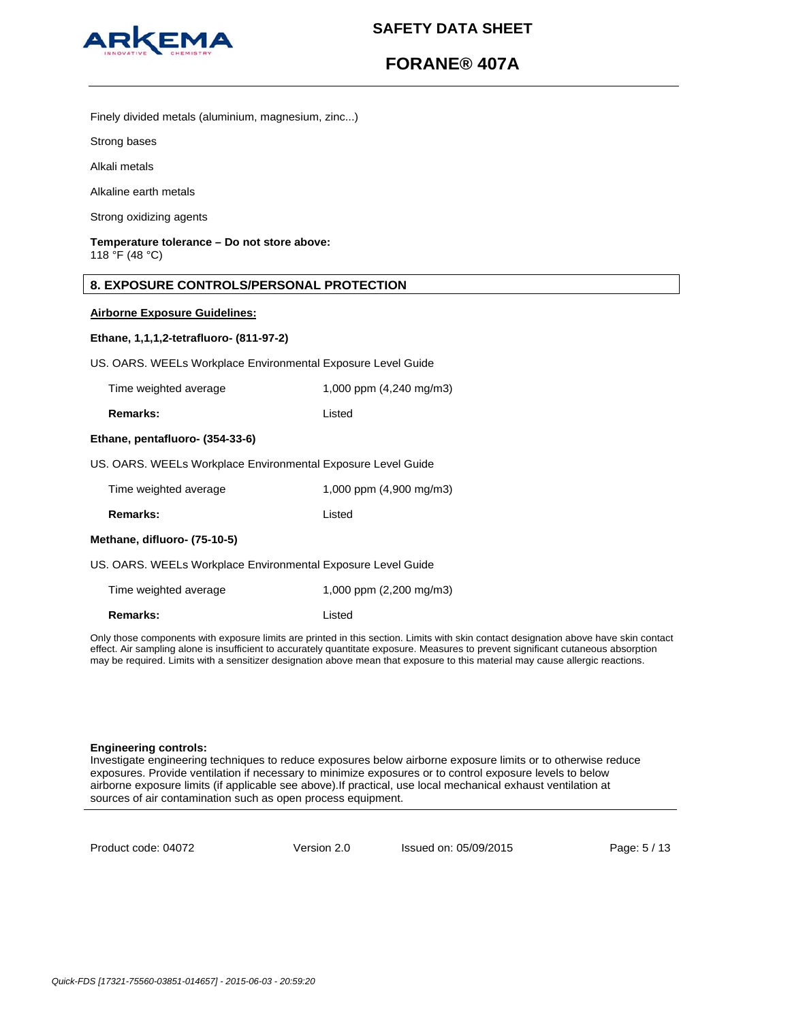

# **FORANE® 407A**

Finely divided metals (aluminium, magnesium, zinc...)

Strong bases

Alkali metals

Alkaline earth metals

Strong oxidizing agents

## **Temperature tolerance – Do not store above:** 118 °F (48 °C)

## **8. EXPOSURE CONTROLS/PERSONAL PROTECTION**

### **Airborne Exposure Guidelines:**

### **Ethane, 1,1,1,2-tetrafluoro- (811-97-2)**

US. OARS. WEELs Workplace Environmental Exposure Level Guide

| Time weighted average | 1,000 ppm (4,240 mg/m3) |
|-----------------------|-------------------------|
|                       |                         |

**Remarks:** listed

#### **Ethane, pentafluoro- (354-33-6)**

US. OARS. WEELs Workplace Environmental Exposure Level Guide

| Time weighted average                                        | 1,000 ppm $(4,900 \text{ mg/m3})$ |  |
|--------------------------------------------------------------|-----------------------------------|--|
| <b>Remarks:</b>                                              | Listed                            |  |
| Methane, difluoro- (75-10-5)                                 |                                   |  |
| US. OARS. WEELs Workplace Environmental Exposure Level Guide |                                   |  |

Time weighted average 1,000 ppm (2,200 mg/m3)

**Remarks:** Listed

Only those components with exposure limits are printed in this section. Limits with skin contact designation above have skin contact effect. Air sampling alone is insufficient to accurately quantitate exposure. Measures to prevent significant cutaneous absorption may be required. Limits with a sensitizer designation above mean that exposure to this material may cause allergic reactions.

#### **Engineering controls:**

Investigate engineering techniques to reduce exposures below airborne exposure limits or to otherwise reduce exposures. Provide ventilation if necessary to minimize exposures or to control exposure levels to below airborne exposure limits (if applicable see above).If practical, use local mechanical exhaust ventilation at sources of air contamination such as open process equipment.

Product code: 04072

Version 2.0 Issued on: 05/09/2015 Page: 5 / 13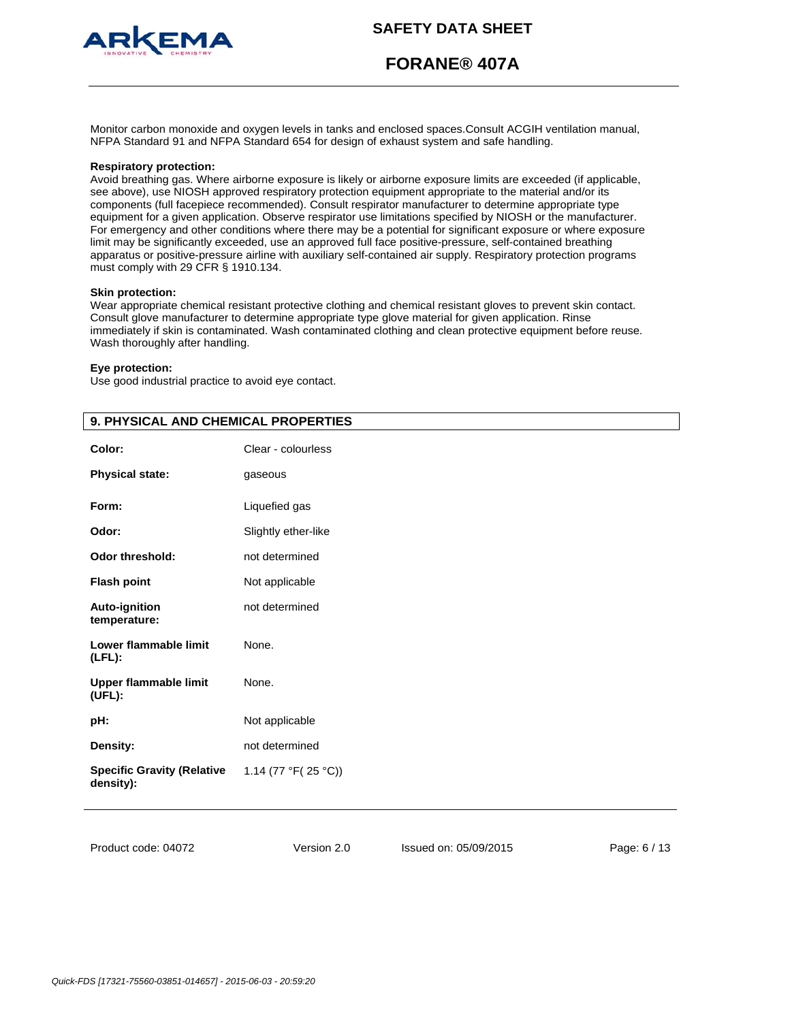

# **FORANE® 407A**

Monitor carbon monoxide and oxygen levels in tanks and enclosed spaces.Consult ACGIH ventilation manual, NFPA Standard 91 and NFPA Standard 654 for design of exhaust system and safe handling.

#### **Respiratory protection:**

Avoid breathing gas. Where airborne exposure is likely or airborne exposure limits are exceeded (if applicable, see above), use NIOSH approved respiratory protection equipment appropriate to the material and/or its components (full facepiece recommended). Consult respirator manufacturer to determine appropriate type equipment for a given application. Observe respirator use limitations specified by NIOSH or the manufacturer. For emergency and other conditions where there may be a potential for significant exposure or where exposure limit may be significantly exceeded, use an approved full face positive-pressure, self-contained breathing apparatus or positive-pressure airline with auxiliary self-contained air supply. Respiratory protection programs must comply with 29 CFR § 1910.134.

#### **Skin protection:**

Wear appropriate chemical resistant protective clothing and chemical resistant gloves to prevent skin contact. Consult glove manufacturer to determine appropriate type glove material for given application. Rinse immediately if skin is contaminated. Wash contaminated clothing and clean protective equipment before reuse. Wash thoroughly after handling.

## **Eye protection:**

Use good industrial practice to avoid eye contact.

| 9. PHYSICAL AND CHEMICAL PROPERTIES            |                     |  |
|------------------------------------------------|---------------------|--|
| Color:                                         | Clear - colourless  |  |
| <b>Physical state:</b>                         | gaseous             |  |
| Form:                                          | Liquefied gas       |  |
| Odor:                                          | Slightly ether-like |  |
| <b>Odor threshold:</b>                         | not determined      |  |
| <b>Flash point</b>                             | Not applicable      |  |
| <b>Auto-ignition</b><br>temperature:           | not determined      |  |
| Lower flammable limit<br>$(LFL)$ :             | None.               |  |
| <b>Upper flammable limit</b><br>(UEL):         | None.               |  |
| pH:                                            | Not applicable      |  |
| Density:                                       | not determined      |  |
| <b>Specific Gravity (Relative</b><br>density): | 1.14 (77 °F(25 °C)) |  |

Product code: 04072

Version 2.0 Issued on: 05/09/2015 Page: 6 / 13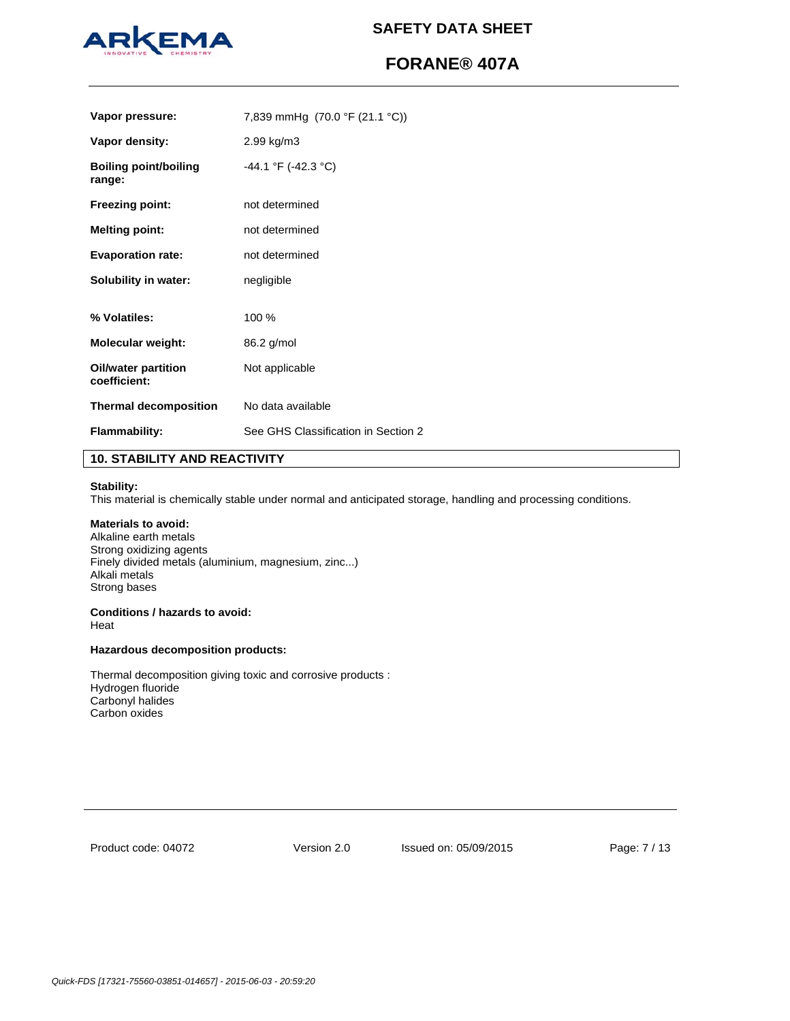

# **FORANE® 407A**

| Vapor pressure:                            | 7,839 mmHg $(70.0 \text{ °F} (21.1 \text{ °C}))$ |
|--------------------------------------------|--------------------------------------------------|
| Vapor density:                             | 2.99 kg/m3                                       |
| <b>Boiling point/boiling</b><br>range:     | -44.1 °F (-42.3 °C)                              |
| <b>Freezing point:</b>                     | not determined                                   |
| <b>Melting point:</b>                      | not determined                                   |
| <b>Evaporation rate:</b>                   | not determined                                   |
| Solubility in water:                       | negligible                                       |
| % Volatiles:                               | 100 %                                            |
| Molecular weight:                          | 86.2 g/mol                                       |
| <b>Oil/water partition</b><br>coefficient: | Not applicable                                   |
| <b>Thermal decomposition</b>               | No data available                                |
| <b>Flammability:</b>                       | See GHS Classification in Section 2              |

## **10. STABILITY AND REACTIVITY**

#### **Stability:**

This material is chemically stable under normal and anticipated storage, handling and processing conditions.

## **Materials to avoid:**

Alkaline earth metals Strong oxidizing agents Finely divided metals (aluminium, magnesium, zinc...) Alkali metals Strong bases

#### **Conditions / hazards to avoid:**  Heat

## **Hazardous decomposition products:**

Thermal decomposition giving toxic and corrosive products : Hydrogen fluoride Carbonyl halides Carbon oxides

Product code: 04072

Version 2.0 Issued on: 05/09/2015 Page: 7 / 13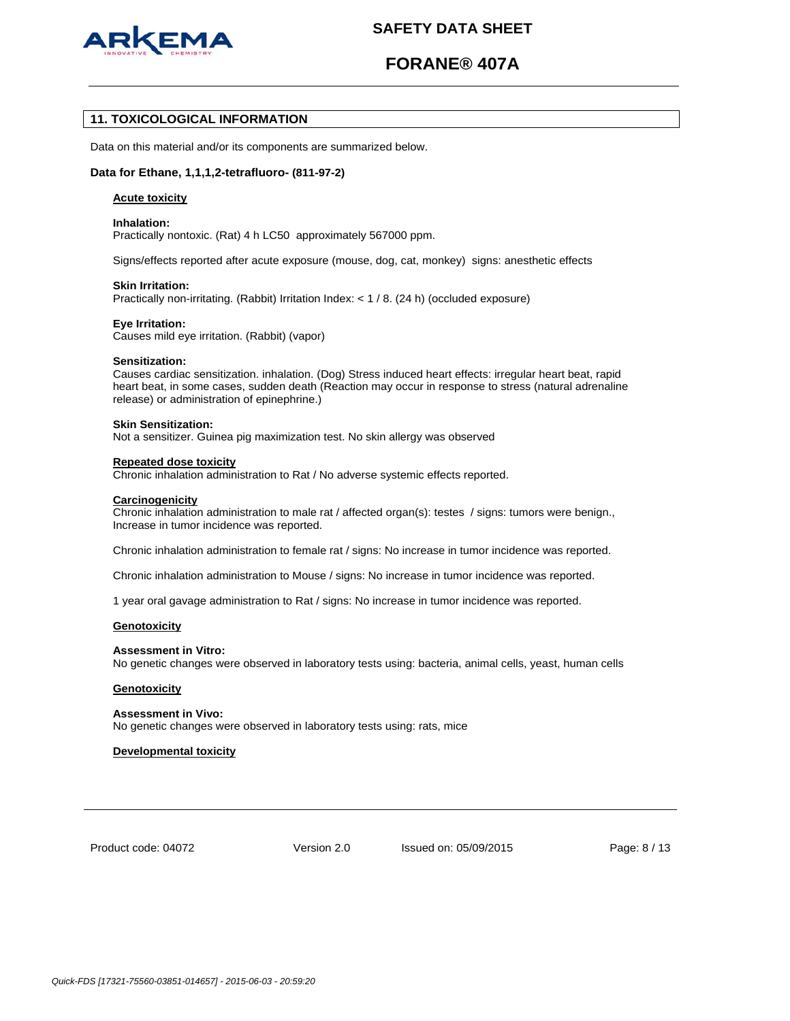

# **FORANE® 407A**

## **11. TOXICOLOGICAL INFORMATION**

Data on this material and/or its components are summarized below.

### **Data for Ethane, 1,1,1,2-tetrafluoro- (811-97-2)**

#### **Acute toxicity**

#### **Inhalation:**

Practically nontoxic. (Rat) 4 h LC50 approximately 567000 ppm.

Signs/effects reported after acute exposure (mouse, dog, cat, monkey) signs: anesthetic effects

### **Skin Irritation:**

Practically non-irritating. (Rabbit) Irritation Index: < 1 / 8. (24 h) (occluded exposure)

#### **Eye Irritation:**

Causes mild eye irritation. (Rabbit) (vapor)

#### **Sensitization:**

Causes cardiac sensitization. inhalation. (Dog) Stress induced heart effects: irregular heart beat, rapid heart beat, in some cases, sudden death (Reaction may occur in response to stress (natural adrenaline release) or administration of epinephrine.)

#### **Skin Sensitization:**

Not a sensitizer. Guinea pig maximization test. No skin allergy was observed

#### **Repeated dose toxicity**

Chronic inhalation administration to Rat / No adverse systemic effects reported.

#### **Carcinogenicity**

Chronic inhalation administration to male rat / affected organ(s): testes / signs: tumors were benign., Increase in tumor incidence was reported.

Chronic inhalation administration to female rat / signs: No increase in tumor incidence was reported.

Chronic inhalation administration to Mouse / signs: No increase in tumor incidence was reported.

1 year oral gavage administration to Rat / signs: No increase in tumor incidence was reported.

#### **Genotoxicity**

#### **Assessment in Vitro:**

No genetic changes were observed in laboratory tests using: bacteria, animal cells, yeast, human cells

#### **Genotoxicity**

#### **Assessment in Vivo:**

No genetic changes were observed in laboratory tests using: rats, mice

### **Developmental toxicity**

Product code: 04072

Version 2.0 Issued on: 05/09/2015 Page: 8 / 13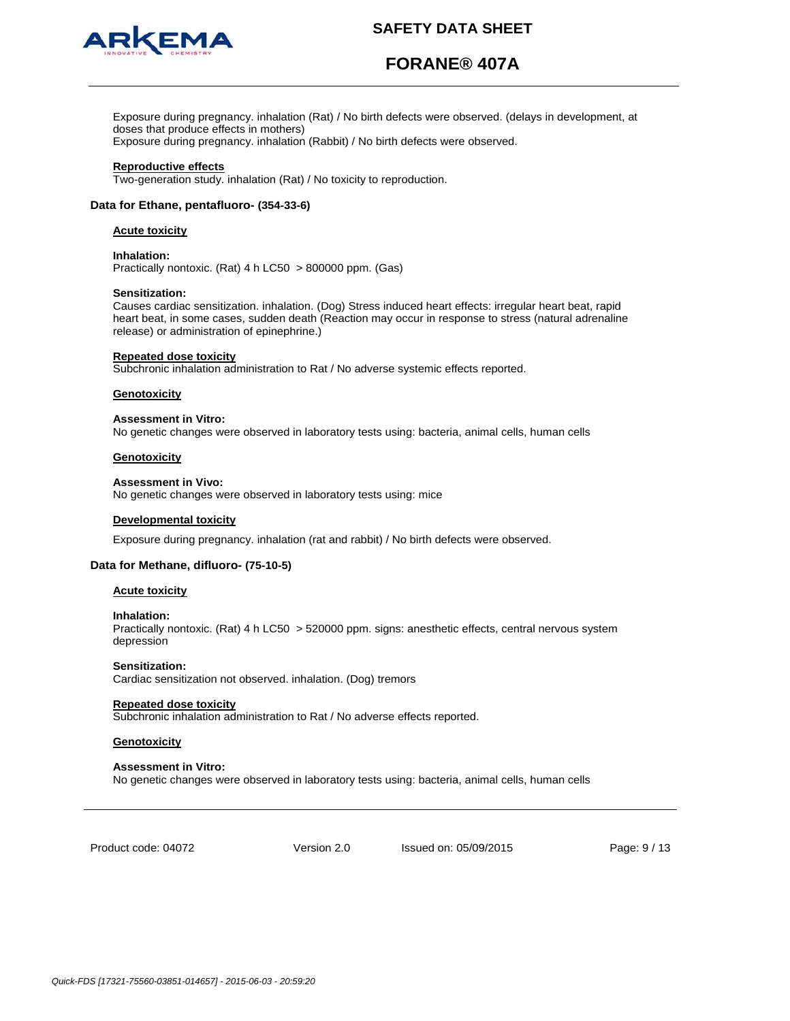

# **FORANE® 407A**

Exposure during pregnancy. inhalation (Rat) / No birth defects were observed. (delays in development, at doses that produce effects in mothers) Exposure during pregnancy. inhalation (Rabbit) / No birth defects were observed.

**Reproductive effects**

Two-generation study. inhalation (Rat) / No toxicity to reproduction.

## **Data for Ethane, pentafluoro- (354-33-6)**

### **Acute toxicity**

#### **Inhalation:**

Practically nontoxic. (Rat) 4 h LC50 > 800000 ppm. (Gas)

#### **Sensitization:**

Causes cardiac sensitization. inhalation. (Dog) Stress induced heart effects: irregular heart beat, rapid heart beat, in some cases, sudden death (Reaction may occur in response to stress (natural adrenaline release) or administration of epinephrine.)

#### **Repeated dose toxicity**

Subchronic inhalation administration to Rat / No adverse systemic effects reported.

#### **Genotoxicity**

#### **Assessment in Vitro:**

No genetic changes were observed in laboratory tests using: bacteria, animal cells, human cells

## **Genotoxicity**

#### **Assessment in Vivo:**

No genetic changes were observed in laboratory tests using: mice

#### **Developmental toxicity**

Exposure during pregnancy. inhalation (rat and rabbit) / No birth defects were observed.

## **Data for Methane, difluoro- (75-10-5)**

#### **Acute toxicity**

#### **Inhalation:**

Practically nontoxic. (Rat) 4 h LC50 > 520000 ppm. signs: anesthetic effects, central nervous system depression

#### **Sensitization:**

Cardiac sensitization not observed. inhalation. (Dog) tremors

#### **Repeated dose toxicity**

Subchronic inhalation administration to Rat / No adverse effects reported.

### **Genotoxicity**

#### **Assessment in Vitro:**

No genetic changes were observed in laboratory tests using: bacteria, animal cells, human cells

Product code: 04072

Version 2.0 Issued on: 05/09/2015 Page: 9 / 13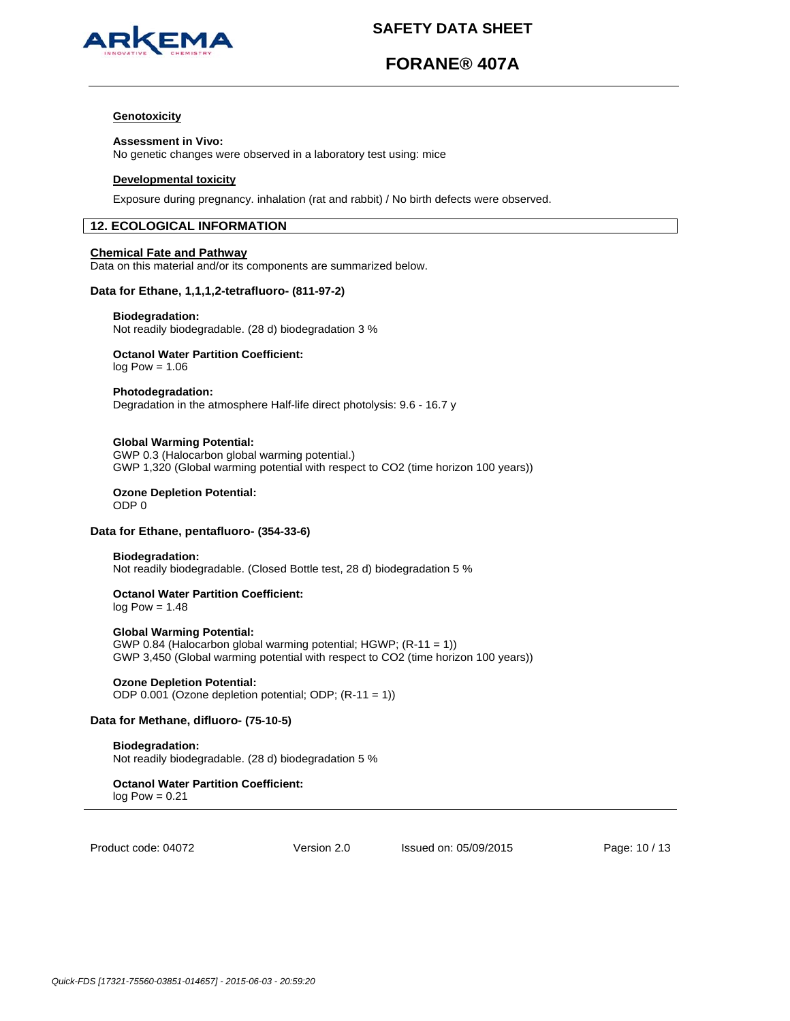

# **FORANE® 407A**

### **Genotoxicity**

#### **Assessment in Vivo:**

No genetic changes were observed in a laboratory test using: mice

### **Developmental toxicity**

Exposure during pregnancy. inhalation (rat and rabbit) / No birth defects were observed.

## **12. ECOLOGICAL INFORMATION**

### **Chemical Fate and Pathway**

Data on this material and/or its components are summarized below.

## **Data for Ethane, 1,1,1,2-tetrafluoro- (811-97-2)**

#### **Biodegradation:**

Not readily biodegradable. (28 d) biodegradation 3 %

# **Octanol Water Partition Coefficient:**

 $log Pow = 1.06$ 

#### **Photodegradation:**

Degradation in the atmosphere Half-life direct photolysis: 9.6 - 16.7 y

### **Global Warming Potential:**

GWP 0.3 (Halocarbon global warming potential.) GWP 1,320 (Global warming potential with respect to CO2 (time horizon 100 years))

#### **Ozone Depletion Potential:**  ODP 0

## **Data for Ethane, pentafluoro- (354-33-6)**

## **Biodegradation:**

Not readily biodegradable. (Closed Bottle test, 28 d) biodegradation 5 %

# **Octanol Water Partition Coefficient:**

 $log Pow = 1.48$ 

## **Global Warming Potential:**

GWP 0.84 (Halocarbon global warming potential; HGWP; (R-11 = 1)) GWP 3,450 (Global warming potential with respect to CO2 (time horizon 100 years))

#### **Ozone Depletion Potential:**  ODP 0.001 (Ozone depletion potential; ODP; (R-11 = 1))

# **Data for Methane, difluoro- (75-10-5)**

**Biodegradation:** Not readily biodegradable. (28 d) biodegradation 5 %

**Octanol Water Partition Coefficient:**   $log Pow = 0.21$ 

Product code: 04072

Version 2.0 Issued on: 05/09/2015 Page: 10 / 13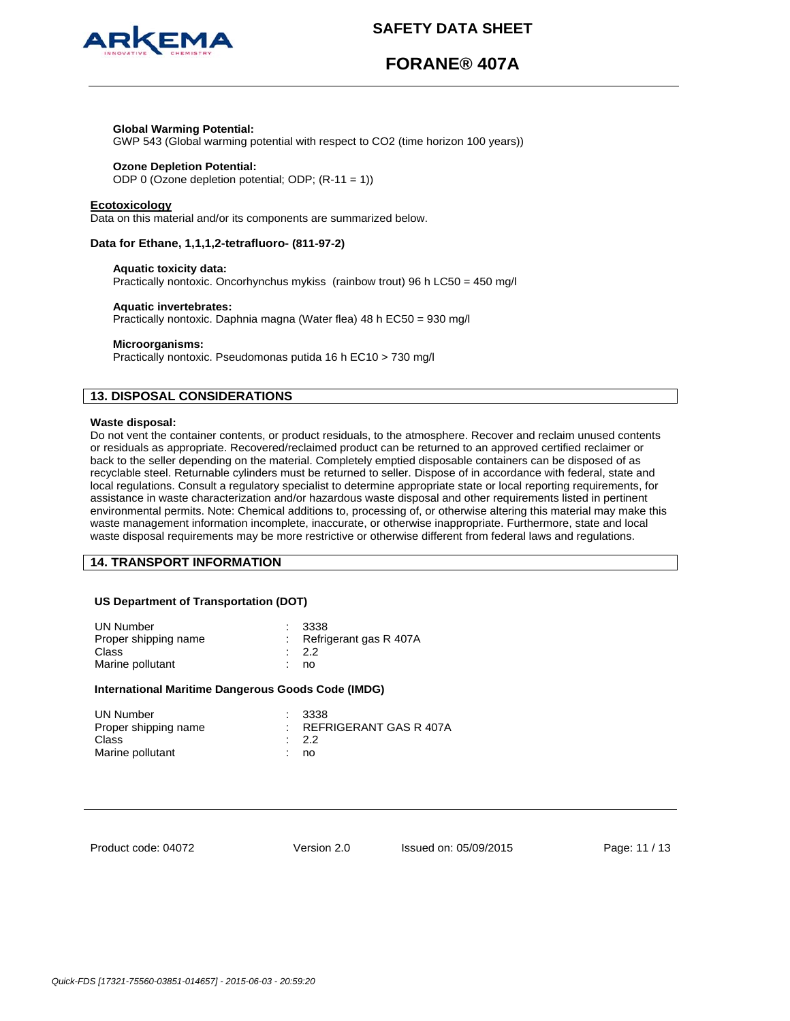

# **FORANE® 407A**

## **Global Warming Potential:**

GWP 543 (Global warming potential with respect to CO2 (time horizon 100 years))

## **Ozone Depletion Potential:**

ODP 0 (Ozone depletion potential; ODP; (R-11 = 1))

#### **Ecotoxicology**

Data on this material and/or its components are summarized below.

### **Data for Ethane, 1,1,1,2-tetrafluoro- (811-97-2)**

## **Aquatic toxicity data:**

Practically nontoxic. Oncorhynchus mykiss (rainbow trout) 96 h LC50 = 450 mg/l

#### **Aquatic invertebrates:**

Practically nontoxic. Daphnia magna (Water flea) 48 h EC50 = 930 mg/l

#### **Microorganisms:**

Practically nontoxic. Pseudomonas putida 16 h EC10 > 730 mg/l

## **13. DISPOSAL CONSIDERATIONS**

#### **Waste disposal:**

Do not vent the container contents, or product residuals, to the atmosphere. Recover and reclaim unused contents or residuals as appropriate. Recovered/reclaimed product can be returned to an approved certified reclaimer or back to the seller depending on the material. Completely emptied disposable containers can be disposed of as recyclable steel. Returnable cylinders must be returned to seller. Dispose of in accordance with federal, state and local regulations. Consult a regulatory specialist to determine appropriate state or local reporting requirements, for assistance in waste characterization and/or hazardous waste disposal and other requirements listed in pertinent environmental permits. Note: Chemical additions to, processing of, or otherwise altering this material may make this waste management information incomplete, inaccurate, or otherwise inappropriate. Furthermore, state and local waste disposal requirements may be more restrictive or otherwise different from federal laws and regulations.

## **14. TRANSPORT INFORMATION**

#### **US Department of Transportation (DOT)**

| UN Number<br>Proper shipping name<br>Class<br>Marine pollutant | 3338<br>: Refrigerant gas $R$ 407A<br>$\therefore$ 2.2<br>no |  |
|----------------------------------------------------------------|--------------------------------------------------------------|--|
|----------------------------------------------------------------|--------------------------------------------------------------|--|

#### **International Maritime Dangerous Goods Code (IMDG)**

| UN Number            | : 3338                     |
|----------------------|----------------------------|
| Proper shipping name | $:$ REFRIGERANT GAS R 407A |
| Class                | $\cdot$ 2.2                |
| Marine pollutant     | : no                       |

Product code: 04072

Version 2.0 Issued on: 05/09/2015 Page: 11 / 13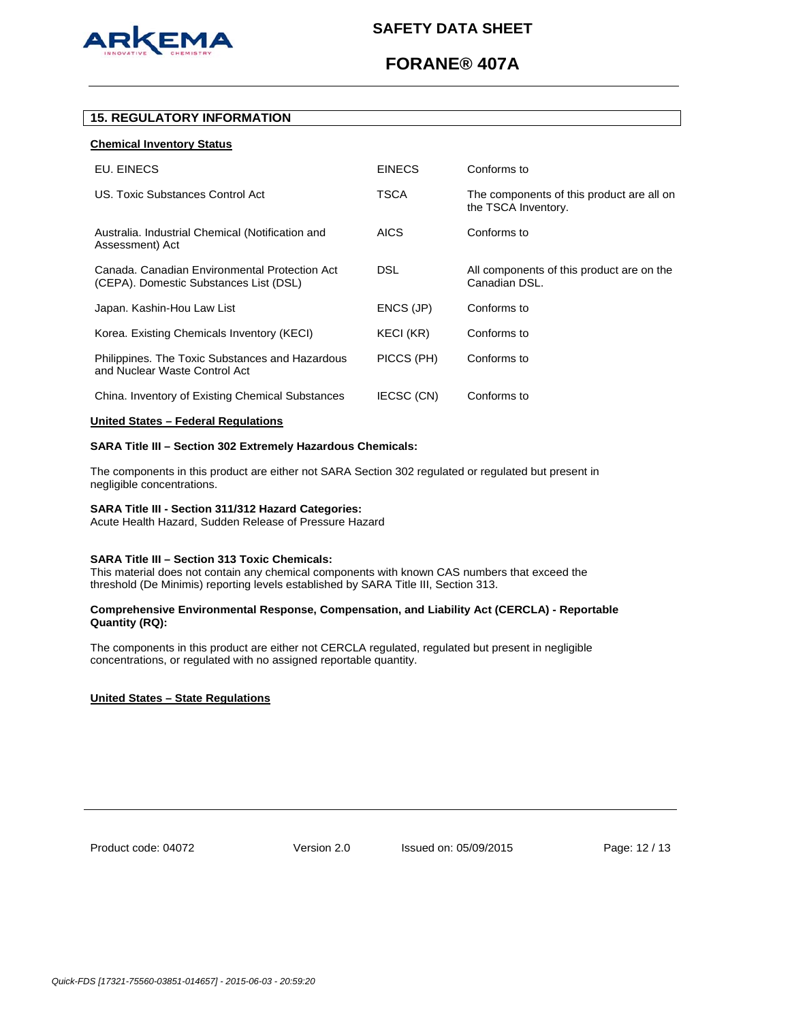

# **FORANE® 407A**

## **15. REGULATORY INFORMATION**

### **Chemical Inventory Status**

| EU. EINECS                                                                              | <b>EINECS</b>     | Conforms to                                                      |
|-----------------------------------------------------------------------------------------|-------------------|------------------------------------------------------------------|
| US. Toxic Substances Control Act                                                        | TSCA              | The components of this product are all on<br>the TSCA Inventory. |
| Australia. Industrial Chemical (Notification and<br>Assessment) Act                     | <b>AICS</b>       | Conforms to                                                      |
| Canada, Canadian Environmental Protection Act<br>(CEPA). Domestic Substances List (DSL) | <b>DSL</b>        | All components of this product are on the<br>Canadian DSL.       |
| Japan. Kashin-Hou Law List                                                              | ENCS (JP)         | Conforms to                                                      |
| Korea. Existing Chemicals Inventory (KECI)                                              | KECI (KR)         | Conforms to                                                      |
| Philippines. The Toxic Substances and Hazardous<br>and Nuclear Waste Control Act        | PICCS (PH)        | Conforms to                                                      |
| China. Inventory of Existing Chemical Substances                                        | <b>IECSC (CN)</b> | Conforms to                                                      |

#### **United States – Federal Regulations**

## **SARA Title III – Section 302 Extremely Hazardous Chemicals:**

The components in this product are either not SARA Section 302 regulated or regulated but present in negligible concentrations.

## **SARA Title III - Section 311/312 Hazard Categories:**

Acute Health Hazard, Sudden Release of Pressure Hazard

## **SARA Title III – Section 313 Toxic Chemicals:**

This material does not contain any chemical components with known CAS numbers that exceed the threshold (De Minimis) reporting levels established by SARA Title III, Section 313.

### **Comprehensive Environmental Response, Compensation, and Liability Act (CERCLA) - Reportable Quantity (RQ):**

The components in this product are either not CERCLA regulated, regulated but present in negligible concentrations, or regulated with no assigned reportable quantity.

## **United States – State Regulations**

Product code: 04072

Version 2.0 Issued on: 05/09/2015 Page: 12 / 13